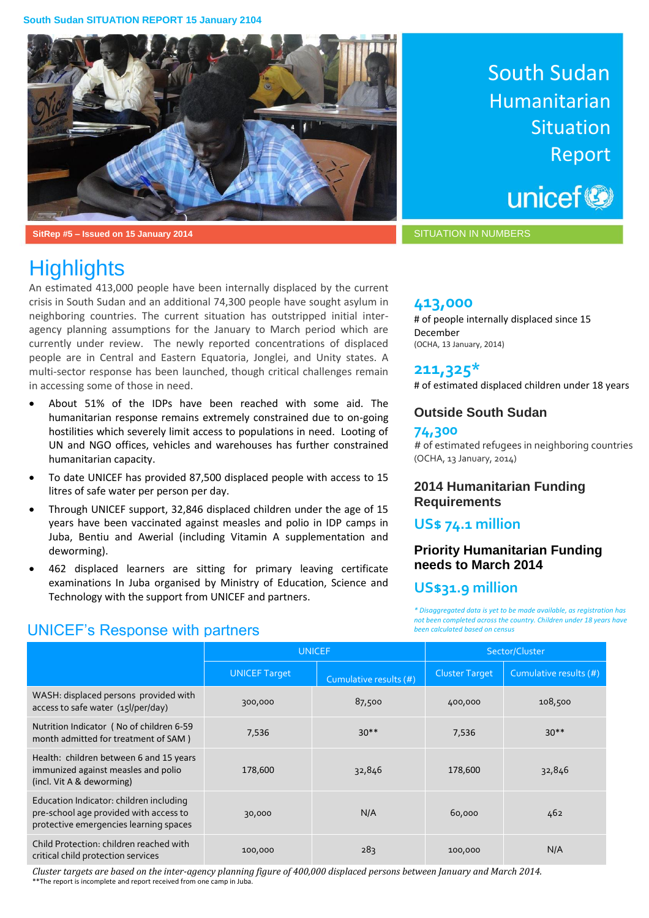

**SitRep #5 – Issued on 15 January 2014** SITUATION IN NUMBERS

# **Highlights**

An estimated 413,000 people have been internally displaced by the current crisis in South Sudan and an additional 74,300 people have sought asylum in neighboring countries. The current situation has outstripped initial interagency planning assumptions for the January to March period which are currently under review. The newly reported concentrations of displaced people are in Central and Eastern Equatoria, Jonglei, and Unity states. A multi-sector response has been launched, though critical challenges remain in accessing some of those in need.

- About 51% of the IDPs have been reached with some aid. The humanitarian response remains extremely constrained due to on-going hostilities which severely limit access to populations in need. Looting of UN and NGO offices, vehicles and warehouses has further constrained humanitarian capacity.
- To date UNICEF has provided 87,500 displaced people with access to 15 litres of safe water per person per day.
- Through UNICEF support, 32,846 displaced children under the age of 15 years have been vaccinated against measles and polio in IDP camps in Juba, Bentiu and Awerial (including Vitamin A supplementation and deworming).
- 462 displaced learners are sitting for primary leaving certificate examinations In Juba organised by Ministry of Education, Science and Technology with the support from UNICEF and partners.

# South Sudan Humanitarian **Situation** Report

unicef<sup>®</sup>

# **413,000**

# of people internally displaced since 15 December (OCHA, 13 January, 2014)

# **211,325\***

# of estimated displaced children under 18 years

# **Outside South Sudan**

## **74,300**

# of estimated refugees in neighboring countries (OCHA, 13 January, 2014)

## **2014 Humanitarian Funding Requirements**

# **US\$ 74.1 million**

# **Priority Humanitarian Funding needs to March 2014**

# **US\$31.9 million**

*\* Disaggregated data is yet to be made available, as registration has not been completed across the country. Children under 18 years have been calculated based on census*

|                                                                                                                             | <b>UNICEF</b>        |                        | Sector/Cluster        |                        |
|-----------------------------------------------------------------------------------------------------------------------------|----------------------|------------------------|-----------------------|------------------------|
|                                                                                                                             | <b>UNICEF Target</b> | Cumulative results (#) | <b>Cluster Target</b> | Cumulative results (#) |
| WASH: displaced persons provided with<br>access to safe water (15l/per/day)                                                 | 300,000              | 87,500                 | 400,000               | 108,500                |
| Nutrition Indicator (No of children 6-59<br>month admitted for treatment of SAM)                                            | 7,536                | $30**$                 | 7,536                 | $30**$                 |
| Health: children between 6 and 15 years<br>immunized against measles and polio<br>(incl. Vit A & deworming)                 | 178,600              | 32,846                 | 178,600               | 32,846                 |
| Education Indicator: children including<br>pre-school age provided with access to<br>protective emergencies learning spaces | 30,000               | N/A                    | 60,000                | 462                    |
| Child Protection: children reached with<br>critical child protection services                                               | 100,000              | 283                    | 100,000               | N/A                    |

*Cluster targets are based on the inter-agency planning figure of 400,000 displaced persons between January and March 2014.* \*\*The report is incomplete and report received from one camp in Juba.

# UNICEF's Response with partners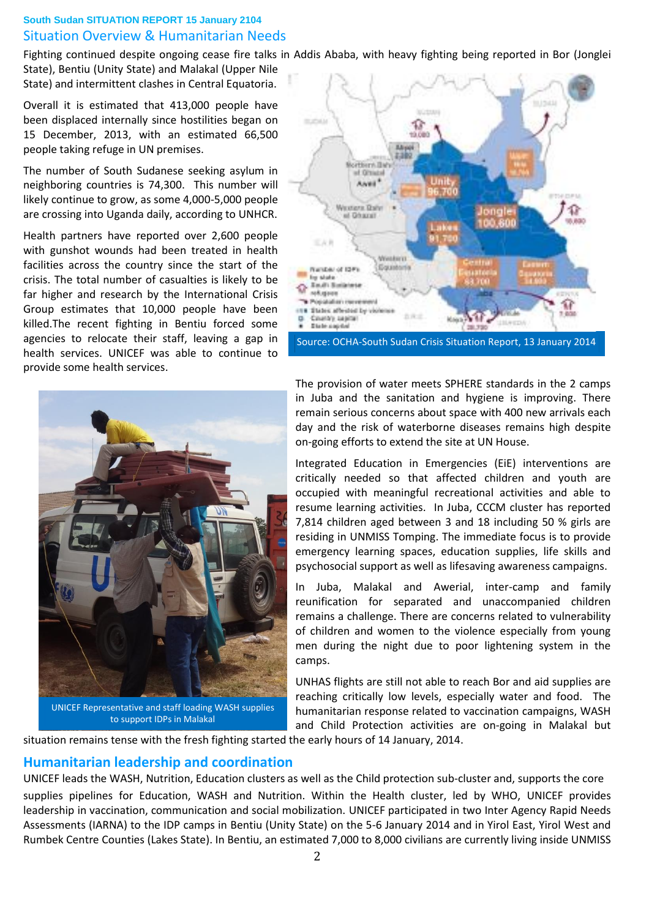# **South Sudan SITUATION REPORT 15 January 2104** Situation Overview & Humanitarian Needs

Fighting continued despite ongoing cease fire talks in Addis Ababa, with heavy fighting being reported in Bor (Jonglei State), Bentiu (Unity State) and Malakal (Upper Nile

State) and intermittent clashes in Central Equatoria. Overall it is estimated that 413,000 people have been displaced internally since hostilities began on 15 December, 2013, with an estimated 66,500

people taking refuge in UN premises.

The number of South Sudanese seeking asylum in neighboring countries is 74,300. This number will likely continue to grow, as some 4,000-5,000 people are crossing into Uganda daily, according to UNHCR.

Health partners have reported over 2,600 people with gunshot wounds had been treated in health facilities across the country since the start of the crisis. The total number of casualties is likely to be far higher and research by the International Crisis Group estimates that 10,000 people have been killed.The recent fighting in Bentiu forced some agencies to relocate their staff, leaving a gap in health services. UNICEF was able to continue to provide some health services.



UNICEF Representative and staff loading WASH supplies to support IDPs in Malakal



Source: OCHA-South Sudan Crisis Situation Report, 13 January 2014

The provision of water meets SPHERE standards in the 2 camps in Juba and the sanitation and hygiene is improving. There remain serious concerns about space with 400 new arrivals each day and the risk of waterborne diseases remains high despite on-going efforts to extend the site at UN House.

Integrated Education in Emergencies (EiE) interventions are critically needed so that affected children and youth are occupied with meaningful recreational activities and able to resume learning activities. In Juba, CCCM cluster has reported 7,814 children aged between 3 and 18 including 50 % girls are residing in UNMISS Tomping. The immediate focus is to provide emergency learning spaces, education supplies, life skills and psychosocial support as well as lifesaving awareness campaigns.

In Juba, Malakal and Awerial, inter-camp and family reunification for separated and unaccompanied children remains a challenge. There are concerns related to vulnerability of children and women to the violence especially from young men during the night due to poor lightening system in the camps.

UNHAS flights are still not able to reach Bor and aid supplies are reaching critically low levels, especially water and food. The humanitarian response related to vaccination campaigns, WASH and Child Protection activities are on-going in Malakal but

situation remains tense with the fresh fighting started the early hours of 14 January, 2014.

# **Humanitarian leadership and coordination**

UNICEF leads the WASH, Nutrition, Education clusters as well as the Child protection sub-cluster and, supports the core supplies pipelines for Education, WASH and Nutrition. Within the Health cluster, led by WHO, UNICEF provides leadership in vaccination, communication and social mobilization. UNICEF participated in two Inter Agency Rapid Needs Assessments (IARNA) to the IDP camps in Bentiu (Unity State) on the 5-6 January 2014 and in Yirol East, Yirol West and Rumbek Centre Counties (Lakes State). In Bentiu, an estimated 7,000 to 8,000 civilians are currently living inside UNMISS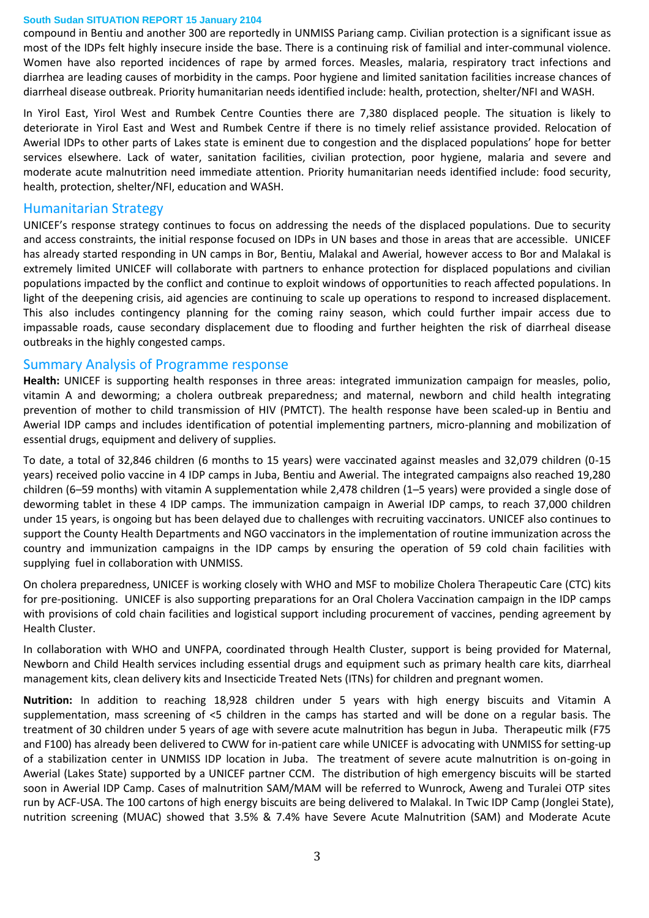compound in Bentiu and another 300 are reportedly in UNMISS Pariang camp. Civilian protection is a significant issue as most of the IDPs felt highly insecure inside the base. There is a continuing risk of familial and inter-communal violence. Women have also reported incidences of rape by armed forces. Measles, malaria, respiratory tract infections and diarrhea are leading causes of morbidity in the camps. Poor hygiene and limited sanitation facilities increase chances of diarrheal disease outbreak. Priority humanitarian needs identified include: health, protection, shelter/NFI and WASH.

In Yirol East, Yirol West and Rumbek Centre Counties there are 7,380 displaced people. The situation is likely to deteriorate in Yirol East and West and Rumbek Centre if there is no timely relief assistance provided. Relocation of Awerial IDPs to other parts of Lakes state is eminent due to congestion and the displaced populations' hope for better services elsewhere. Lack of water, sanitation facilities, civilian protection, poor hygiene, malaria and severe and moderate acute malnutrition need immediate attention. Priority humanitarian needs identified include: food security, health, protection, shelter/NFI, education and WASH.

# Humanitarian Strategy

UNICEF's response strategy continues to focus on addressing the needs of the displaced populations. Due to security and access constraints, the initial response focused on IDPs in UN bases and those in areas that are accessible. UNICEF has already started responding in UN camps in Bor, Bentiu, Malakal and Awerial, however access to Bor and Malakal is extremely limited UNICEF will collaborate with partners to enhance protection for displaced populations and civilian populations impacted by the conflict and continue to exploit windows of opportunities to reach affected populations. In light of the deepening crisis, aid agencies are continuing to scale up operations to respond to increased displacement. This also includes contingency planning for the coming rainy season, which could further impair access due to impassable roads, cause secondary displacement due to flooding and further heighten the risk of diarrheal disease outbreaks in the highly congested camps.

# Summary Analysis of Programme response

**Health:** UNICEF is supporting health responses in three areas: integrated immunization campaign for measles, polio, vitamin A and deworming; a cholera outbreak preparedness; and maternal, newborn and child health integrating prevention of mother to child transmission of HIV (PMTCT). The health response have been scaled-up in Bentiu and Awerial IDP camps and includes identification of potential implementing partners, micro-planning and mobilization of essential drugs, equipment and delivery of supplies.

To date, a total of 32,846 children (6 months to 15 years) were vaccinated against measles and 32,079 children (0-15 years) received polio vaccine in 4 IDP camps in Juba, Bentiu and Awerial. The integrated campaigns also reached 19,280 children (6–59 months) with vitamin A supplementation while 2,478 children (1–5 years) were provided a single dose of deworming tablet in these 4 IDP camps. The immunization campaign in Awerial IDP camps, to reach 37,000 children under 15 years, is ongoing but has been delayed due to challenges with recruiting vaccinators. UNICEF also continues to support the County Health Departments and NGO vaccinators in the implementation of routine immunization across the country and immunization campaigns in the IDP camps by ensuring the operation of 59 cold chain facilities with supplying fuel in collaboration with UNMISS.

On cholera preparedness, UNICEF is working closely with WHO and MSF to mobilize Cholera Therapeutic Care (CTC) kits for pre-positioning. UNICEF is also supporting preparations for an Oral Cholera Vaccination campaign in the IDP camps with provisions of cold chain facilities and logistical support including procurement of vaccines, pending agreement by Health Cluster.

In collaboration with WHO and UNFPA, coordinated through Health Cluster, support is being provided for Maternal, Newborn and Child Health services including essential drugs and equipment such as primary health care kits, diarrheal management kits, clean delivery kits and Insecticide Treated Nets (ITNs) for children and pregnant women.

**Nutrition:** In addition to reaching 18,928 children under 5 years with high energy biscuits and Vitamin A supplementation, mass screening of <5 children in the camps has started and will be done on a regular basis. The treatment of 30 children under 5 years of age with severe acute malnutrition has begun in Juba. Therapeutic milk (F75 and F100) has already been delivered to CWW for in-patient care while UNICEF is advocating with UNMISS for setting-up of a stabilization center in UNMISS IDP location in Juba. The treatment of severe acute malnutrition is on-going in Awerial (Lakes State) supported by a UNICEF partner CCM. The distribution of high emergency biscuits will be started soon in Awerial IDP Camp. Cases of malnutrition SAM/MAM will be referred to Wunrock, Aweng and Turalei OTP sites run by ACF-USA. The 100 cartons of high energy biscuits are being delivered to Malakal. In Twic IDP Camp (Jonglei State), nutrition screening (MUAC) showed that 3.5% & 7.4% have Severe Acute Malnutrition (SAM) and Moderate Acute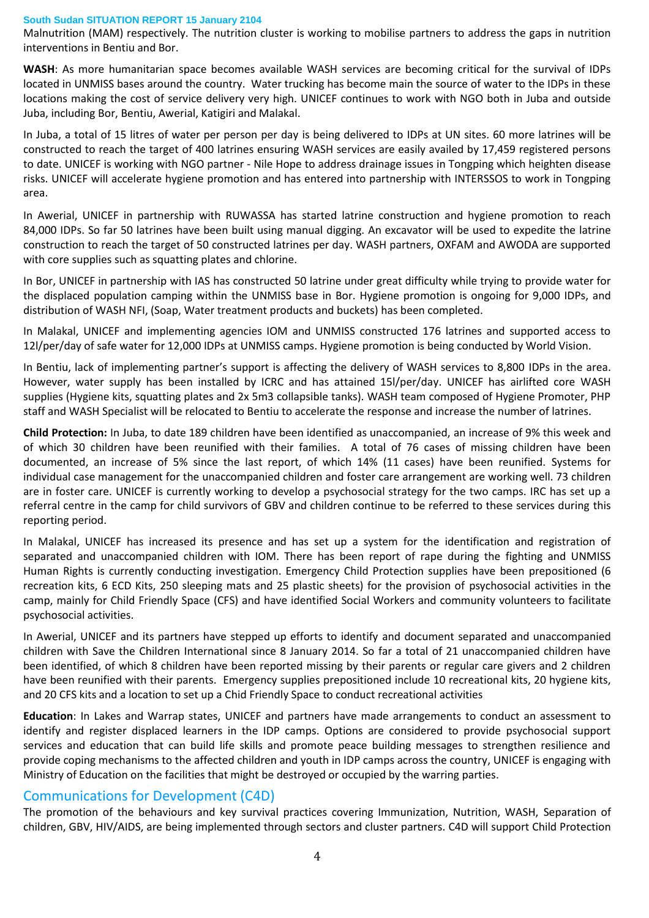Malnutrition (MAM) respectively. The nutrition cluster is working to mobilise partners to address the gaps in nutrition interventions in Bentiu and Bor.

**WASH**: As more humanitarian space becomes available WASH services are becoming critical for the survival of IDPs located in UNMISS bases around the country. Water trucking has become main the source of water to the IDPs in these locations making the cost of service delivery very high. UNICEF continues to work with NGO both in Juba and outside Juba, including Bor, Bentiu, Awerial, Katigiri and Malakal.

In Juba, a total of 15 litres of water per person per day is being delivered to IDPs at UN sites. 60 more latrines will be constructed to reach the target of 400 latrines ensuring WASH services are easily availed by 17,459 registered persons to date. UNICEF is working with NGO partner - Nile Hope to address drainage issues in Tongping which heighten disease risks. UNICEF will accelerate hygiene promotion and has entered into partnership with INTERSSOS to work in Tongping area.

In Awerial, UNICEF in partnership with RUWASSA has started latrine construction and hygiene promotion to reach 84,000 IDPs. So far 50 latrines have been built using manual digging. An excavator will be used to expedite the latrine construction to reach the target of 50 constructed latrines per day. WASH partners, OXFAM and AWODA are supported with core supplies such as squatting plates and chlorine.

In Bor, UNICEF in partnership with IAS has constructed 50 latrine under great difficulty while trying to provide water for the displaced population camping within the UNMISS base in Bor. Hygiene promotion is ongoing for 9,000 IDPs, and distribution of WASH NFI, (Soap, Water treatment products and buckets) has been completed.

In Malakal, UNICEF and implementing agencies IOM and UNMISS constructed 176 latrines and supported access to 12l/per/day of safe water for 12,000 IDPs at UNMISS camps. Hygiene promotion is being conducted by World Vision.

In Bentiu, lack of implementing partner's support is affecting the delivery of WASH services to 8,800 IDPs in the area. However, water supply has been installed by ICRC and has attained 15l/per/day. UNICEF has airlifted core WASH supplies (Hygiene kits, squatting plates and 2x 5m3 collapsible tanks). WASH team composed of Hygiene Promoter, PHP staff and WASH Specialist will be relocated to Bentiu to accelerate the response and increase the number of latrines.

**Child Protection:** In Juba, to date 189 children have been identified as unaccompanied, an increase of 9% this week and of which 30 children have been reunified with their families. A total of 76 cases of missing children have been documented, an increase of 5% since the last report, of which 14% (11 cases) have been reunified. Systems for individual case management for the unaccompanied children and foster care arrangement are working well. 73 children are in foster care. UNICEF is currently working to develop a psychosocial strategy for the two camps. IRC has set up a referral centre in the camp for child survivors of GBV and children continue to be referred to these services during this reporting period.

In Malakal, UNICEF has increased its presence and has set up a system for the identification and registration of separated and unaccompanied children with IOM. There has been report of rape during the fighting and UNMISS Human Rights is currently conducting investigation. Emergency Child Protection supplies have been prepositioned (6 recreation kits, 6 ECD Kits, 250 sleeping mats and 25 plastic sheets) for the provision of psychosocial activities in the camp, mainly for Child Friendly Space (CFS) and have identified Social Workers and community volunteers to facilitate psychosocial activities.

In Awerial, UNICEF and its partners have stepped up efforts to identify and document separated and unaccompanied children with Save the Children International since 8 January 2014. So far a total of 21 unaccompanied children have been identified, of which 8 children have been reported missing by their parents or regular care givers and 2 children have been reunified with their parents. Emergency supplies prepositioned include 10 recreational kits, 20 hygiene kits, and 20 CFS kits and a location to set up a Chid Friendly Space to conduct recreational activities

**Education**: In Lakes and Warrap states, UNICEF and partners have made arrangements to conduct an assessment to identify and register displaced learners in the IDP camps. Options are considered to provide psychosocial support services and education that can build life skills and promote peace building messages to strengthen resilience and provide coping mechanisms to the affected children and youth in IDP camps across the country, UNICEF is engaging with Ministry of Education on the facilities that might be destroyed or occupied by the warring parties.

# Communications for Development (C4D)

The promotion of the behaviours and key survival practices covering Immunization, Nutrition, WASH, Separation of children, GBV, HIV/AIDS, are being implemented through sectors and cluster partners. C4D will support Child Protection